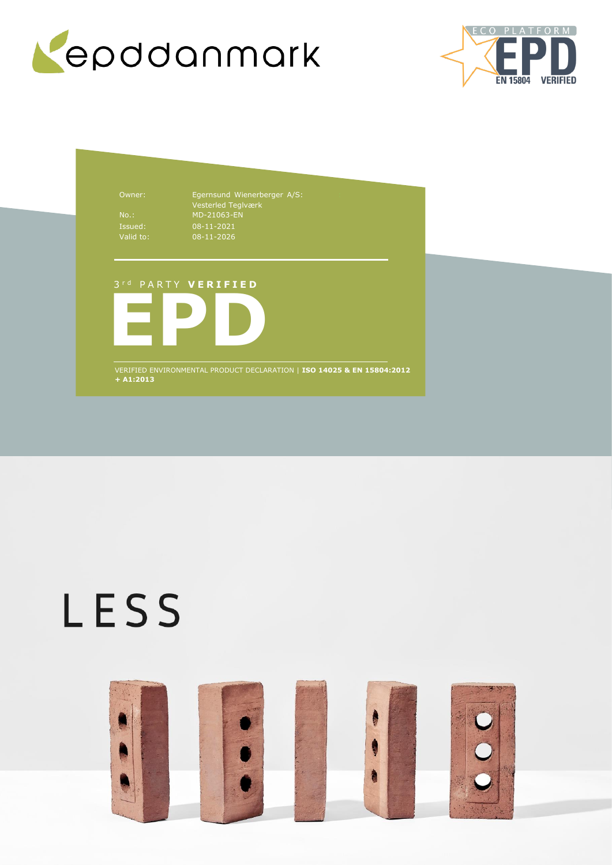



Owner: Egernsund Wienerberger A/S: Vesterled Teglværk No.: MD-21063-EN 08-11-2021 08-11-2026

### 3 r d P A R T Y **V E R I F I E D**



VERIFIED ENVIRONMENTAL PRODUCT DECLARATION | **ISO 14025 & EN 15804:2012 + A1:2013**

# LESS

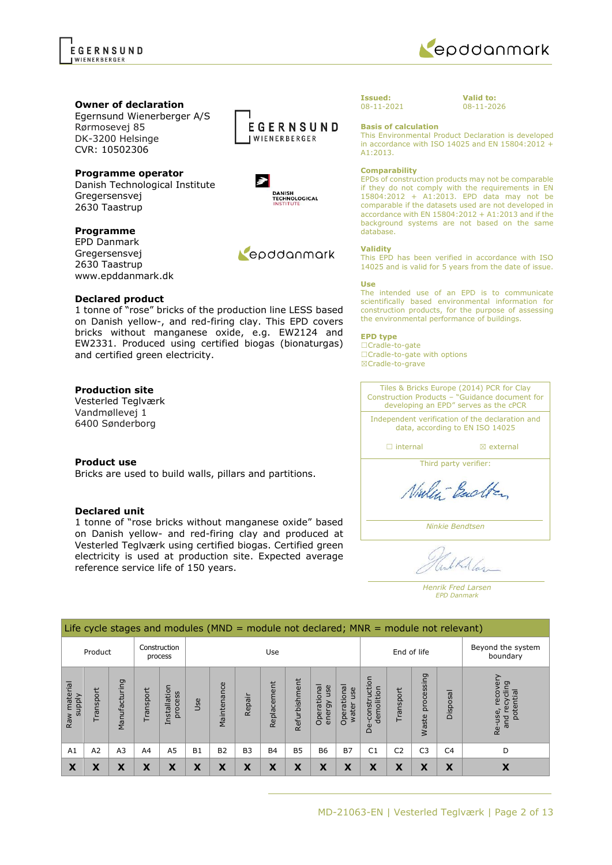

scientifically based environmental information for construction products, for the purpose of assessing the environmental performance of buildings.

The intended use of an EPD is to communicate

This EPD has been verified in accordance with ISO 14025 and is valid for 5 years from the date of issue.

### **EPD type**

☐Cradle-to-gate ☐Cradle-to-gate with options ☒Cradle-to-grave

Tiles & Bricks Europe (2014) PCR for Clay Construction Products – "Guidance document for developing an EPD" serves as the cPCR

Independent verification of the declaration and data, according to EN ISO 14025

□ internal **a ⊠** external

Third party verifier:

Ninley-Backton

*Ninkie Bendtsen*

LKA Las

*Henrik Fred Larsen EPD Danmark*

**Owner of declaration**

Egernsund Wienerberger A/S Rørmosevej 85 DK-3200 Helsinge CVR: 10502306

**Programme operator** Danish Technological Institute Gregersensvej 2630 Taastrup

### **Programme**

EPD Danmark Gregersensvej 2630 Taastrup www.epddanmark.dk

### **Declared product**

1 tonne of "rose" bricks of the production line LESS based on Danish yellow-, and red-firing clay. This EPD covers bricks without manganese oxide, e.g. EW2124 and EW2331. Produced using certified biogas (bionaturgas) and certified green electricity.

### **Production site**

Vesterled Teglværk Vandmøllevej 1 6400 Sønderborg

### **Product use**

Bricks are used to build walls, pillars and partitions.

### **Declared unit**

Raw material supply

Raw material

1 tonne of "rose bricks without manganese oxide" based on Danish yellow- and red-firing clay and produced at Vesterled Teglværk using certified biogas. Certified green electricity is used at production site. Expected average reference service life of 150 years.

Life cycle stages and modules (MND = module not declared; MNR = module not relevant) Construction Use End of life Beyond the system Product process boundary Re-use, recovery<br>and recycling<br>potential Re-use, recovery De-construction<br>demolition De-construction processing Waste processing and recycling Manufacturing Refurbishment Manufacturing Installation Maintenance Replacement Replacement Refurbishmen Operational<br>energy use Operational Operational<br>water use Operational Installation Transport Transport Transport process Disposal Repair Use Waste A1 | A2 | A3 | A4 | A5 | B1 | B2 | B3 | B4 | B5 | B6 | B7 | C1 | C2 | C3 | C4 | D **X X X X X X X X X X X X X X X X X**



A1:2013.

database. **Validity**

**Use**

**Comparability**

**Basis of calculation**

**Valid to:** 08-11-2026

This Environmental Product Declaration is developed in accordance with ISO 14025 and EN 15804:2012 +

EPDs of construction products may not be comparable if they do not comply with the requirements in EN 15804:2012 + A1:2013. EPD data may not be comparable if the datasets used are not developed in accordance with EN 15804:2012 + A1:2013 and if the background systems are not based on the same

enddanmark

### EGERNSUND WIFNFRRFRGFR



EGERNSUND **WIENERBERGER** 

Repodanmark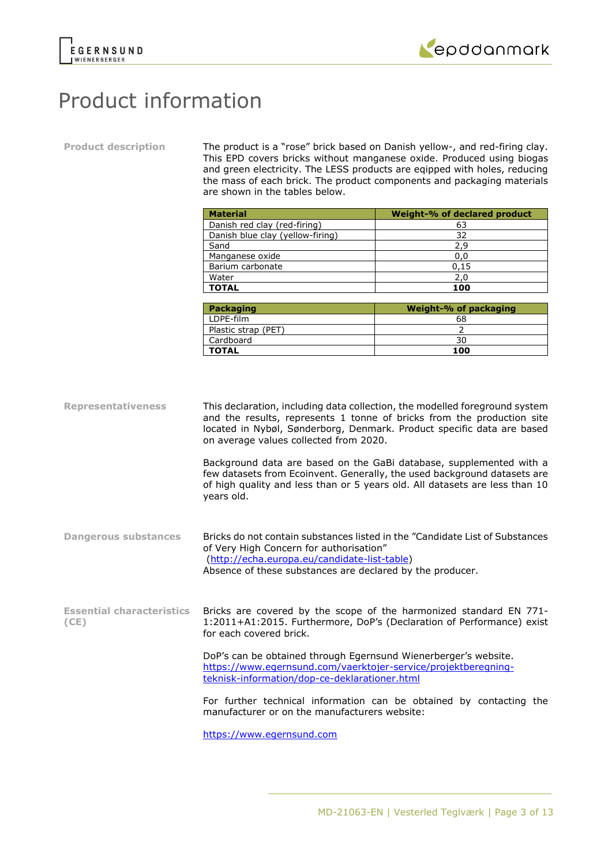



### Product information

**Product description** The product is a "rose" brick based on Danish yellow-, and red-firing clay. This EPD covers bricks without manganese oxide. Produced using biogas and green electricity. The LESS products are eqipped with holes, reducing the mass of each brick. The product components and packaging materials are shown in the tables below.

| <b>Material</b>                  | Weight-% of declared product |
|----------------------------------|------------------------------|
| Danish red clay (red-firing)     | 63                           |
| Danish blue clay (yellow-firing) | 32                           |
| Sand                             | 2,9                          |
| Manganese oxide                  | 0,0                          |
| Barium carbonate                 | 0,15                         |
| Water                            | 2,0                          |
| <b>TOTAL</b>                     | 100                          |
|                                  |                              |
| Packaging                        | Weight-% of packaging        |

| Packaging           | Weight-% of packaging |
|---------------------|-----------------------|
| LDPE-film           | 68                    |
| Plastic strap (PET) |                       |
| Cardboard           | 30                    |
| <b>TOTAL</b>        | 100                   |

**Representativeness** This declaration, including data collection, the modelled foreground system and the results, represents 1 tonne of bricks from the production site located in Nybøl, Sønderborg, Denmark. Product specific data are based on average values collected from 2020.

> Background data are based on the GaBi database, supplemented with a few datasets from Ecoinvent. Generally, the used background datasets are of high quality and less than or 5 years old. All datasets are less than 10 years old.

**Dangerous substances** Bricks do not contain substances listed in the "Candidate List of Substances of Very High Concern for authorisation" [\(http://echa.europa.eu/candidate-list-table\)](http://echa.europa.eu/candidate-list-table) Absence of these substances are declared by the producer.

**Essential characteristics (CE)** Bricks are covered by the scope of the harmonized standard EN 771- 1:2011+A1:2015. Furthermore, DoP's (Declaration of Performance) exist for each covered brick.

> DoP's can be obtained through Egernsund Wienerberger's website. [https://www.egernsund.com/vaerktojer-service/projektberegning](https://www.egernsund.com/vaerktojer-service/projektberegning-teknisk-information/dop-ce-deklarationer.html)[teknisk-information/dop-ce-deklarationer.html](https://www.egernsund.com/vaerktojer-service/projektberegning-teknisk-information/dop-ce-deklarationer.html)

For further technical information can be obtained by contacting the manufacturer or on the manufacturers website:

[https://www.egernsund.com](https://www.egernsund.com/)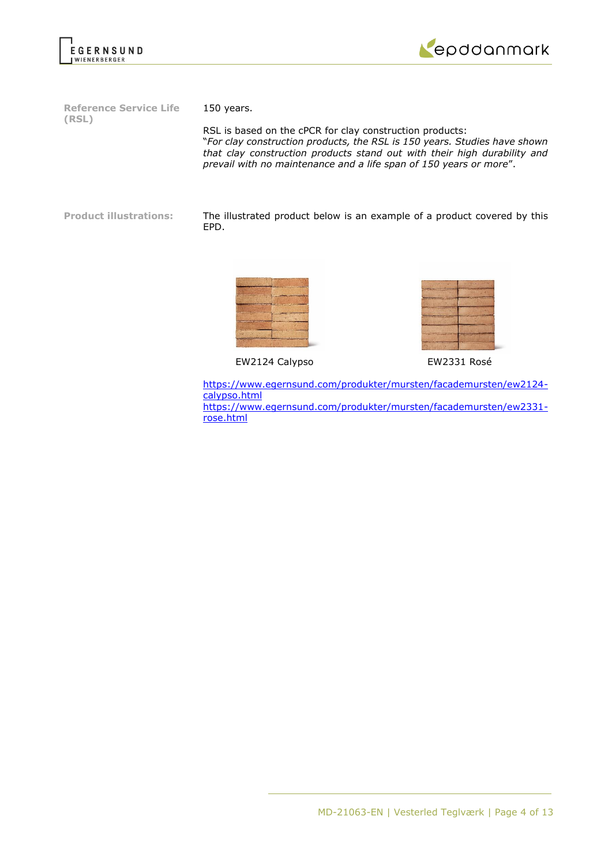



**Reference Service Life (RSL)**

150 years.

RSL is based on the cPCR for clay construction products: "*For clay construction products, the RSL is 150 years. Studies have shown that clay construction products stand out with their high durability and prevail with no maintenance and a life span of 150 years or more*".

**Product illustrations:** The illustrated product below is an example of a product covered by this EPD.



EW2124 Calypso EW2331 Rosé



[https://www.egernsund.com/produkter/mursten/facademursten/ew2124](https://www.egernsund.com/produkter/mursten/facademursten/ew2124-calypso.html) [calypso.html](https://www.egernsund.com/produkter/mursten/facademursten/ew2124-calypso.html) [https://www.egernsund.com/produkter/mursten/facademursten/ew2331](https://www.egernsund.com/produkter/mursten/facademursten/ew2331-rose.html) [rose.html](https://www.egernsund.com/produkter/mursten/facademursten/ew2331-rose.html)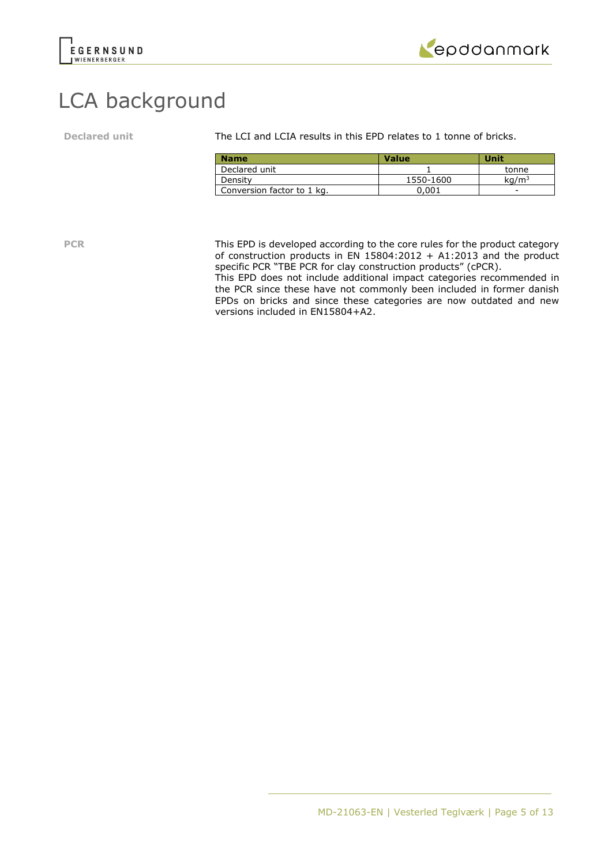



### LCA background

**Declared unit** The LCI and LCIA results in this EPD relates to 1 tonne of bricks.

| <b>Name</b>                | <b>Value</b> | Unit              |
|----------------------------|--------------|-------------------|
| Declared unit              |              | tonne             |
| Density                    | 1550-1600    | kq/m <sup>3</sup> |
| Conversion factor to 1 kg. | 0.001        | -                 |

**PCR** This EPD is developed according to the core rules for the product category of construction products in EN  $15804:2012 + A1:2013$  and the product specific PCR "TBE PCR for clay construction products" (cPCR).

This EPD does not include additional impact categories recommended in the PCR since these have not commonly been included in former danish EPDs on bricks and since these categories are now outdated and new versions included in EN15804+A2.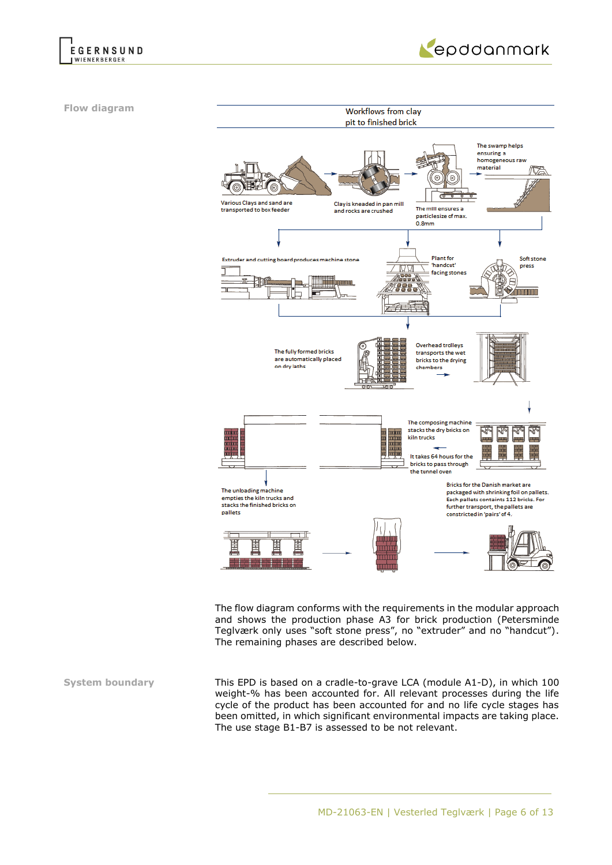



**Flow diagram**



The flow diagram conforms with the requirements in the modular approach and shows the production phase A3 for brick production (Petersminde Teglværk only uses "soft stone press", no "extruder" and no "handcut"). The remaining phases are described below.

**System boundary** This EPD is based on a cradle-to-grave LCA (module A1-D), in which 100 weight-% has been accounted for. All relevant processes during the life cycle of the product has been accounted for and no life cycle stages has been omitted, in which significant environmental impacts are taking place. The use stage B1-B7 is assessed to be not relevant.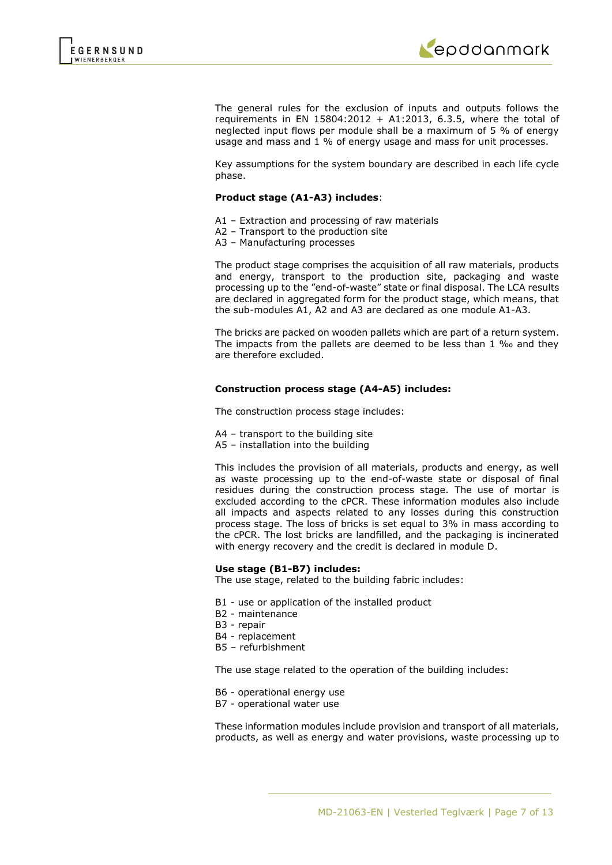

The general rules for the exclusion of inputs and outputs follows the requirements in EN 15804:2012 + A1:2013, 6.3.5, where the total of neglected input flows per module shall be a maximum of 5 % of energy usage and mass and 1 % of energy usage and mass for unit processes.

Key assumptions for the system boundary are described in each life cycle phase.

### **Product stage (A1-A3) includes**:

- A1 Extraction and processing of raw materials
- A2 Transport to the production site
- A3 Manufacturing processes

The product stage comprises the acquisition of all raw materials, products and energy, transport to the production site, packaging and waste processing up to the "end-of-waste" state or final disposal. The LCA results are declared in aggregated form for the product stage, which means, that the sub-modules A1, A2 and A3 are declared as one module A1-A3.

The bricks are packed on wooden pallets which are part of a return system. The impacts from the pallets are deemed to be less than 1 ‰ and they are therefore excluded.

### **Construction process stage (A4-A5) includes:**

The construction process stage includes:

- A4 transport to the building site
- A5 installation into the building

This includes the provision of all materials, products and energy, as well as waste processing up to the end-of-waste state or disposal of final residues during the construction process stage. The use of mortar is excluded according to the cPCR. These information modules also include all impacts and aspects related to any losses during this construction process stage. The loss of bricks is set equal to 3% in mass according to the cPCR. The lost bricks are landfilled, and the packaging is incinerated with energy recovery and the credit is declared in module D.

#### **Use stage (B1-B7) includes:**

The use stage, related to the building fabric includes:

- B1 use or application of the installed product
- B2 maintenance
- B3 repair
- B4 replacement
- B5 refurbishment

The use stage related to the operation of the building includes:

- B6 operational energy use
- B7 operational water use

These information modules include provision and transport of all materials, products, as well as energy and water provisions, waste processing up to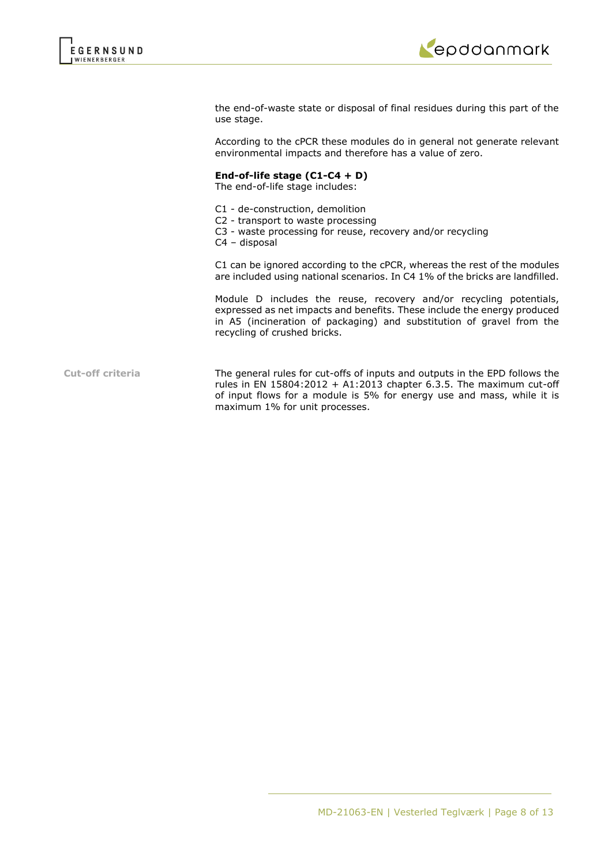

the end-of-waste state or disposal of final residues during this part of the use stage.

According to the cPCR these modules do in general not generate relevant environmental impacts and therefore has a value of zero.

### **End-of-life stage (C1-C4 + D)**

The end-of-life stage includes:

- C1 de-construction, demolition
- C2 transport to waste processing
- C3 waste processing for reuse, recovery and/or recycling
- C4 disposal

C1 can be ignored according to the cPCR, whereas the rest of the modules are included using national scenarios. In C4 1% of the bricks are landfilled.

Module D includes the reuse, recovery and/or recycling potentials, expressed as net impacts and benefits. These include the energy produced in A5 (incineration of packaging) and substitution of gravel from the recycling of crushed bricks.

**Cut-off criteria** The general rules for cut-offs of inputs and outputs in the EPD follows the rules in EN  $15804:2012 + A1:2013$  chapter 6.3.5. The maximum cut-off of input flows for a module is 5% for energy use and mass, while it is maximum 1% for unit processes.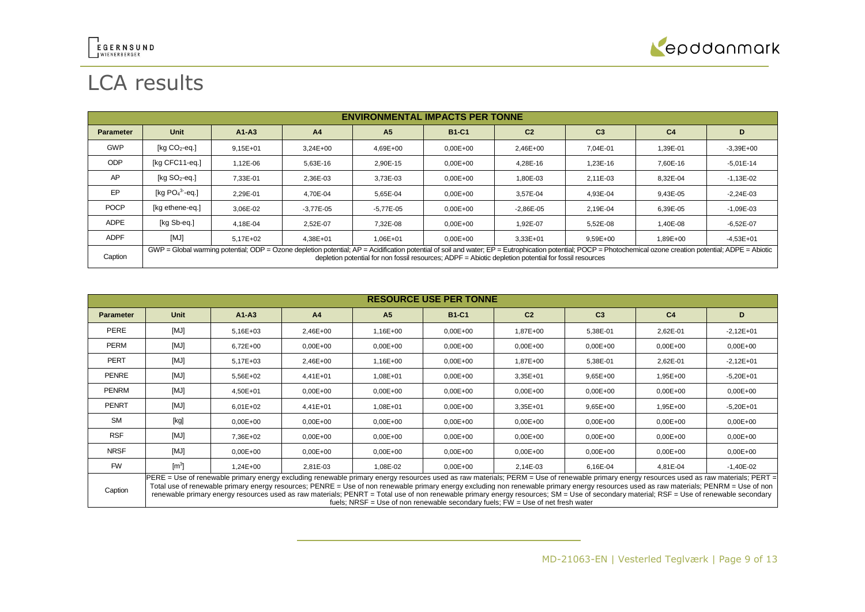

## LCA results

|                  | <b>ENVIRONMENTAL IMPACTS PER TONNE</b>                                                                                                                                                                                                                                                                                 |              |                |                |              |                |                |                |               |
|------------------|------------------------------------------------------------------------------------------------------------------------------------------------------------------------------------------------------------------------------------------------------------------------------------------------------------------------|--------------|----------------|----------------|--------------|----------------|----------------|----------------|---------------|
| <b>Parameter</b> | <b>Unit</b>                                                                                                                                                                                                                                                                                                            | $A1-A3$      | A <sub>4</sub> | A <sub>5</sub> | <b>B1-C1</b> | C <sub>2</sub> | C <sub>3</sub> | C <sub>4</sub> | D             |
| <b>GWP</b>       | $[kq CO2-eq.]$                                                                                                                                                                                                                                                                                                         | $9.15E + 01$ | $3.24E + 00$   | 4.69E+00       | $0,00E+00$   | $2.46E + 00$   | 7.04E-01       | 1,39E-01       | $-3,39E+00$   |
| <b>ODP</b>       | [kg CFC11-eg.]                                                                                                                                                                                                                                                                                                         | 1,12E-06     | 5,63E-16       | 2,90E-15       | $0,00E+00$   | 4,28E-16       | 1,23E-16       | 7,60E-16       | $-5,01E-14$   |
| AP               | $[kg SO2-eq.]$                                                                                                                                                                                                                                                                                                         | 7.33E-01     | 2,36E-03       | 3,73E-03       | $0,00E+00$   | 1,80E-03       | 2,11E-03       | 8,32E-04       | $-1,13E-02$   |
| EP               | [kg $PO43$ -eg.]                                                                                                                                                                                                                                                                                                       | 2,29E-01     | 4.70E-04       | 5,65E-04       | $0,00E+00$   | 3,57E-04       | 4,93E-04       | 9,43E-05       | $-2,24E-03$   |
| <b>POCP</b>      | [kg ethene-eg.]                                                                                                                                                                                                                                                                                                        | 3.06E-02     | $-3.77E - 05$  | $-5.77E - 05$  | $0.00E + 00$ | $-2.86E - 05$  | 2.19E-04       | 6,39E-05       | $-1,09E-03$   |
| <b>ADPE</b>      | [kg Sb-eq.]                                                                                                                                                                                                                                                                                                            | 4.18E-04     | 2.52E-07       | 7.32E-08       | $0.00E + 00$ | 1.92E-07       | 5.52E-08       | 1.40E-08       | $-6.52E-07$   |
| <b>ADPF</b>      | [MJ]                                                                                                                                                                                                                                                                                                                   | $5.17E + 02$ | $4.38E + 01$   | $1.06E + 01$   | $0.00E + 00$ | $3.33E + 01$   | $9.59E + 00$   | 1,89E+00       | $-4.53E + 01$ |
| Caption          | GWP = Global warming potential; ODP = Ozone depletion potential; AP = Acidification potential of soil and water; EP = Eutrophication potential; POCP = Photochemical ozone creation potential; ADPE = Abiotic<br>depletion potential for non fossil resources: ADPF = Abiotic depletion potential for fossil resources |              |                |                |              |                |                |                |               |

| <b>RESOURCE USE PER TONNE</b> |                                                                                                                                                                                                                                                                                                                                                                                                                                                                                                                                                                                                                                                                      |              |                |                |              |                |                |                |              |
|-------------------------------|----------------------------------------------------------------------------------------------------------------------------------------------------------------------------------------------------------------------------------------------------------------------------------------------------------------------------------------------------------------------------------------------------------------------------------------------------------------------------------------------------------------------------------------------------------------------------------------------------------------------------------------------------------------------|--------------|----------------|----------------|--------------|----------------|----------------|----------------|--------------|
| <b>Parameter</b>              | Unit                                                                                                                                                                                                                                                                                                                                                                                                                                                                                                                                                                                                                                                                 | $A1 - A3$    | A <sub>4</sub> | A <sub>5</sub> | <b>B1-C1</b> | C <sub>2</sub> | C <sub>3</sub> | C <sub>4</sub> | D            |
| PERE                          | [MJ]                                                                                                                                                                                                                                                                                                                                                                                                                                                                                                                                                                                                                                                                 | $5,16E+03$   | 2,46E+00       | 1,16E+00       | $0.00E + 00$ | 1,87E+00       | 5,38E-01       | 2,62E-01       | $-2,12E+01$  |
| PERM                          | [MJ]                                                                                                                                                                                                                                                                                                                                                                                                                                                                                                                                                                                                                                                                 | $6,72E+00$   | $0.00E + 00$   | $0.00E + 00$   | $0,00E+00$   | $0,00E+00$     | $0,00E + 00$   | $0,00E + 00$   | $0,00E + 00$ |
| <b>PERT</b>                   | [MJ]                                                                                                                                                                                                                                                                                                                                                                                                                                                                                                                                                                                                                                                                 | $5.17E + 03$ | 2,46E+00       | $1.16E + 00$   | $0,00E+00$   | 1.87E+00       | 5,38E-01       | 2,62E-01       | $-2,12E+01$  |
| PENRE                         | [MJ]                                                                                                                                                                                                                                                                                                                                                                                                                                                                                                                                                                                                                                                                 | 5,56E+02     | 4,41E+01       | 1,08E+01       | $0.00E + 00$ | 3,35E+01       | $9,65E+00$     | 1,95E+00       | $-5,20E+01$  |
| PENRM                         | [MJ]                                                                                                                                                                                                                                                                                                                                                                                                                                                                                                                                                                                                                                                                 | 4,50E+01     | $0.00E + 00$   | $0.00E + 00$   | $0.00E + 00$ | $0,00E+00$     | $0,00E + 00$   | $0,00E + 00$   | $0,00E + 00$ |
| PENRT                         | [MJ]                                                                                                                                                                                                                                                                                                                                                                                                                                                                                                                                                                                                                                                                 | $6.01E + 02$ | $4.41E + 01$   | $1.08E + 01$   | $0.00E + 00$ | $3,35E+01$     | $9,65E+00$     | 1,95E+00       | $-5,20E+01$  |
| <b>SM</b>                     | [kg]                                                                                                                                                                                                                                                                                                                                                                                                                                                                                                                                                                                                                                                                 | $0,00E+00$   | $0.00E + 00$   | $0.00E + 00$   | $0.00E + 00$ | $0,00E+00$     | $0,00E + 00$   | $0,00E + 00$   | $0,00E + 00$ |
| <b>RSF</b>                    | [MJ]                                                                                                                                                                                                                                                                                                                                                                                                                                                                                                                                                                                                                                                                 | 7,36E+02     | $0.00E + 00$   | $0.00E + 00$   | $0.00E + 00$ | $0,00E+00$     | $0,00E+00$     | $0,00E + 00$   | $0,00E + 00$ |
| <b>NRSF</b>                   | [MJ]                                                                                                                                                                                                                                                                                                                                                                                                                                                                                                                                                                                                                                                                 | $0,00E + 00$ | $0.00E + 00$   | $0.00E + 00$   | $0,00E + 00$ | $0,00E+00$     | $0,00E + 00$   | $0,00E + 00$   | $0,00E + 00$ |
| <b>FW</b>                     | $\text{[m}^3$                                                                                                                                                                                                                                                                                                                                                                                                                                                                                                                                                                                                                                                        | $1.24E + 00$ | 2,81E-03       | 1,08E-02       | $0,00E+00$   | 2,14E-03       | 6,16E-04       | 4,81E-04       | $-1,40E-02$  |
| Caption                       | PERE = Use of renewable primary energy excluding renewable primary energy resources used as raw materials; PERM = Use of renewable primary energy resources used as raw materials; PERT =<br>Total use of renewable primary energy resources; PENRE = Use of non renewable primary energy excluding non renewable primary energy resources used as raw materials; PENRM = Use of non<br>renewable primary energy resources used as raw materials; PENRT = Total use of non renewable primary energy resources; SM = Use of secondary material; RSF = Use of renewable secondary<br>fuels; NRSF = Use of non renewable secondary fuels; $FW = Use$ of net fresh water |              |                |                |              |                |                |                |              |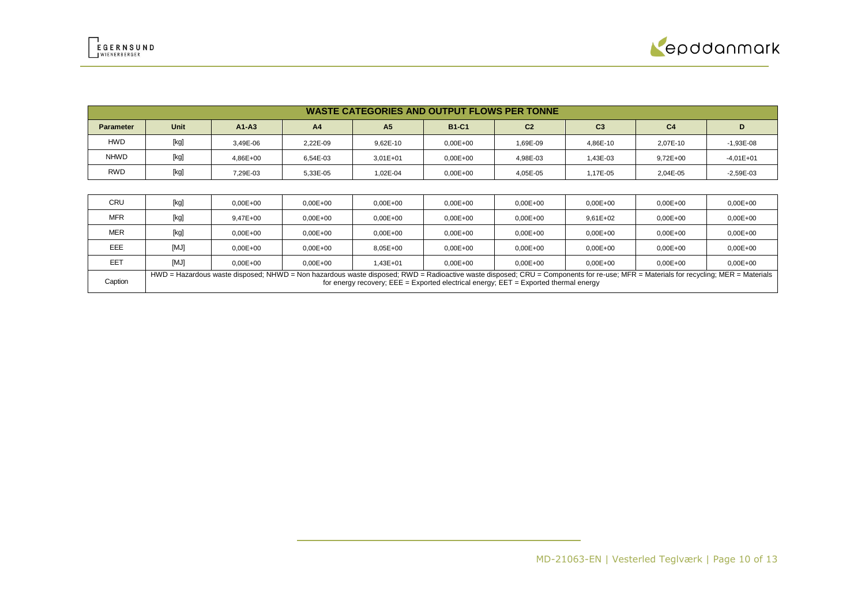| <b>WASTE CATEGORIES AND OUTPUT FLOWS PER TONNE</b> |      |           |                |                |              |                |                |              |             |
|----------------------------------------------------|------|-----------|----------------|----------------|--------------|----------------|----------------|--------------|-------------|
| <b>Parameter</b>                                   | Unit | $A1 - A3$ | A <sub>4</sub> | A <sub>5</sub> | <b>B1-C1</b> | C <sub>2</sub> | C <sub>3</sub> | C4           | D           |
| <b>HWD</b>                                         | [kg] | 3.49E-06  | 2.22E-09       | 9.62E-10       | $0.00E + 00$ | 1.69E-09       | 4.86E-10       | 2.07E-10     | $-1,93E-08$ |
| <b>NHWD</b>                                        | [kg] | 4.86E+00  | 6.54E-03       | $3.01E + 01$   | $0.00E + 00$ | 4.98E-03       | 1.43E-03       | $9.72E + 00$ | $-4,01E+01$ |
| <b>RWD</b>                                         | [kg] | 7.29E-03  | 5,33E-05       | 1.02E-04       | $0,00E+00$   | 4,05E-05       | 1.17E-05       | 2.04E-05     | $-2,59E-03$ |

| CRU        | [kg]                                                                                                                                                                                                                                                                            | $0.00E + 00$ | $0.00E + 00$ | $0.00E + 00$ | $0.00E + 00$ | $0.00E + 00$ | $0.00E + 00$ | $0.00E + 00$ | $0.00E + 00$ |
|------------|---------------------------------------------------------------------------------------------------------------------------------------------------------------------------------------------------------------------------------------------------------------------------------|--------------|--------------|--------------|--------------|--------------|--------------|--------------|--------------|
| <b>MFR</b> | [kg]                                                                                                                                                                                                                                                                            | $9.47E + 00$ | $0.00E + 00$ | $0.00E + 00$ | $0.00E + 00$ | $0.00E + 00$ | $9.61E + 02$ | $0.00E + 00$ | $0.00E + 00$ |
| <b>MER</b> | [kg]                                                                                                                                                                                                                                                                            | $0.00E + 00$ | $0.00E + 00$ | $0.00E + 00$ | $0.00E + 00$ | $0.00E + 00$ | $0.00E + 00$ | $0.00E + 00$ | $0.00E + 00$ |
| EEE        | [MJ]                                                                                                                                                                                                                                                                            | $0.00E + 00$ | $0.00E + 00$ | 8.05E+00     | $0.00E + 00$ | $0.00E + 00$ | $0.00E + 00$ | $0.00E + 00$ | $0.00E + 00$ |
| EET        | [MJ]                                                                                                                                                                                                                                                                            | $0.00E + 00$ | $0.00E + 00$ | $1.43E + 01$ | $0.00E + 00$ | $0.00E + 00$ | $0.00E + 00$ | $0.00E + 00$ | $0.00E + 00$ |
| Caption    | HWD = Hazardous waste disposed; NHWD = Non hazardous waste disposed; RWD = Radioactive waste disposed; CRU = Components for re-use; MFR = Materials for recycling; MER = Materials<br>for energy recovery; $EEE = Exported electrical energy$ ; $EET = Exported thermal energy$ |              |              |              |              |              |              |              |              |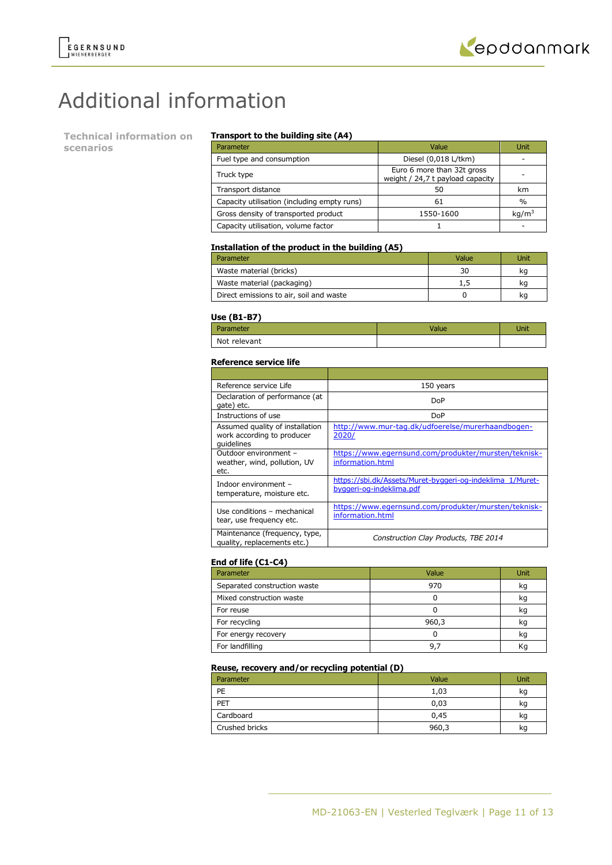# Additional information

**Technical information on scenarios**

### **Transport to the building site (A4)**

| Parameter                                   | Value                                                          | Unit              |
|---------------------------------------------|----------------------------------------------------------------|-------------------|
| Fuel type and consumption                   | Diesel (0,018 L/tkm)                                           |                   |
| Truck type                                  | Euro 6 more than 32t gross<br>weight / 24,7 t payload capacity |                   |
| Transport distance                          | 50                                                             | km                |
| Capacity utilisation (including empty runs) | 61                                                             | $\%$              |
| Gross density of transported product        | 1550-1600                                                      | kg/m <sup>3</sup> |
| Capacity utilisation, volume factor         |                                                                |                   |

### **Installation of the product in the building (A5)**

| Parameter                               | Value | Unit |
|-----------------------------------------|-------|------|
| Waste material (bricks)                 | 30    | kq   |
| Waste material (packaging)              | 1.5   | kq   |
| Direct emissions to air, soil and waste |       | kq   |

#### **Use (B1-B7)**

| Parameter    | Value | Unit |
|--------------|-------|------|
| Not relevant |       |      |

#### **Reference service life**

| Reference service Life                                                      | 150 years                                                                             |
|-----------------------------------------------------------------------------|---------------------------------------------------------------------------------------|
| Declaration of performance (at<br>gate) etc.                                | DoP                                                                                   |
| Instructions of use                                                         | DoP                                                                                   |
| Assumed quality of installation<br>work according to producer<br>quidelines | http://www.mur-tag.dk/udfoerelse/murerhaandbogen-<br>2020/                            |
| Outdoor environment -<br>weather, wind, pollution, UV<br>etc.               | https://www.egernsund.com/produkter/mursten/teknisk-<br>information.html              |
| Indoor environment -<br>temperature, moisture etc.                          | https://sbi.dk/Assets/Muret-byggeri-og-indeklima 1/Muret-<br>byggeri-og-indeklima.pdf |
| Use conditions - mechanical<br>tear, use frequency etc.                     | https://www.egernsund.com/produkter/mursten/teknisk-<br>information.html              |
| Maintenance (frequency, type,<br>quality, replacements etc.)                | Construction Clay Products, TBE 2014                                                  |

### **End of life (C1-C4)**

| Parameter                    | Value | Unit |
|------------------------------|-------|------|
| Separated construction waste | 970   | kg   |
| Mixed construction waste     |       | kg   |
| For reuse                    |       | kq   |
| For recycling                | 960,3 | kg   |
| For energy recovery          |       | kg   |
| For landfilling              | 9.7   | Κq   |

### **Reuse, recovery and/or recycling potential (D)**

| Parameter      | Value | Unit |
|----------------|-------|------|
| PE             | 1,03  | kg   |
| PET            | 0,03  | kg   |
| Cardboard      | 0,45  | kg   |
| Crushed bricks | 960,3 | kg   |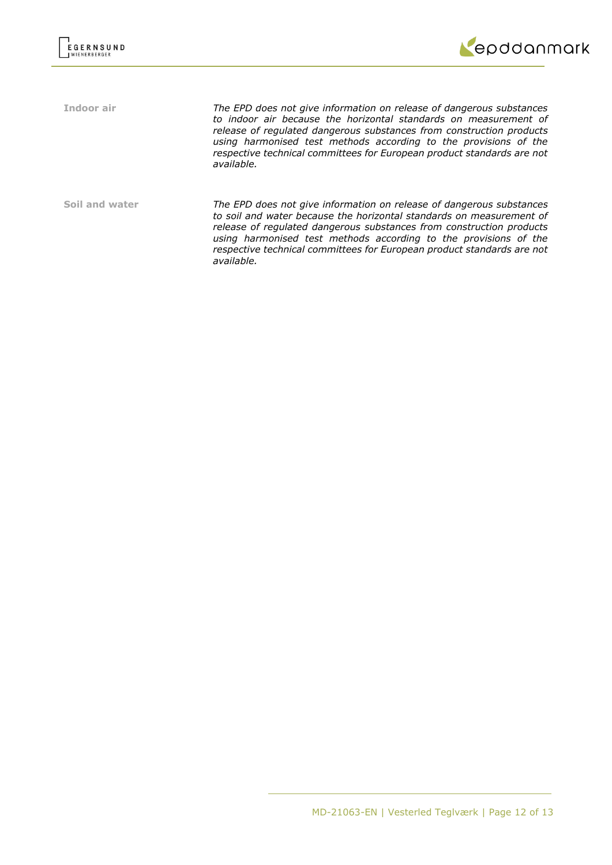

**Indoor air** *The EPD does not give information on release of dangerous substances to indoor air because the horizontal standards on measurement of release of regulated dangerous substances from construction products using harmonised test methods according to the provisions of the respective technical committees for European product standards are not available.* **Soil and water** *The EPD does not give information on release of dangerous substances to soil and water because the horizontal standards on measurement of release of regulated dangerous substances from construction products using harmonised test methods according to the provisions of the respective technical committees for European product standards are not available.*